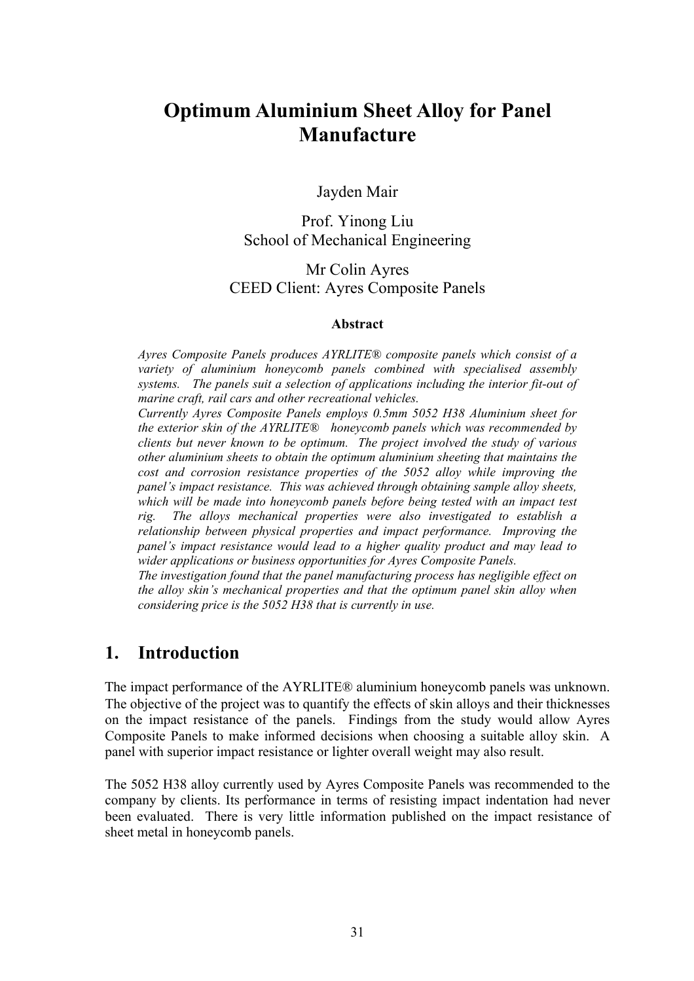# **Optimum Aluminium Sheet Alloy for Panel Manufacture**

Jayden Mair

Prof. Yinong Liu School of Mechanical Engineering

Mr Colin Ayres CEED Client: Ayres Composite Panels

#### **Abstract**

*Ayres Composite Panels produces AYRLITE® composite panels which consist of a variety of aluminium honeycomb panels combined with specialised assembly systems. The panels suit a selection of applications including the interior fit-out of marine craft, rail cars and other recreational vehicles.*

*Currently Ayres Composite Panels employs 0.5mm 5052 H38 Aluminium sheet for the exterior skin of the AYRLITE® honeycomb panels which was recommended by clients but never known to be optimum. The project involved the study of various other aluminium sheets to obtain the optimum aluminium sheeting that maintains the cost and corrosion resistance properties of the 5052 alloy while improving the panel's impact resistance. This was achieved through obtaining sample alloy sheets, which will be made into honeycomb panels before being tested with an impact test rig. The alloys mechanical properties were also investigated to establish a relationship between physical properties and impact performance. Improving the panel's impact resistance would lead to a higher quality product and may lead to wider applications or business opportunities for Ayres Composite Panels.*

*The investigation found that the panel manufacturing process has negligible effect on the alloy skin's mechanical properties and that the optimum panel skin alloy when considering price is the 5052 H38 that is currently in use.*

#### **1. Introduction**

The impact performance of the AYRLITE® aluminium honeycomb panels was unknown. The objective of the project was to quantify the effects of skin alloys and their thicknesses on the impact resistance of the panels. Findings from the study would allow Ayres Composite Panels to make informed decisions when choosing a suitable alloy skin. A panel with superior impact resistance or lighter overall weight may also result.

The 5052 H38 alloy currently used by Ayres Composite Panels was recommended to the company by clients. Its performance in terms of resisting impact indentation had never been evaluated. There is very little information published on the impact resistance of sheet metal in honeycomb panels.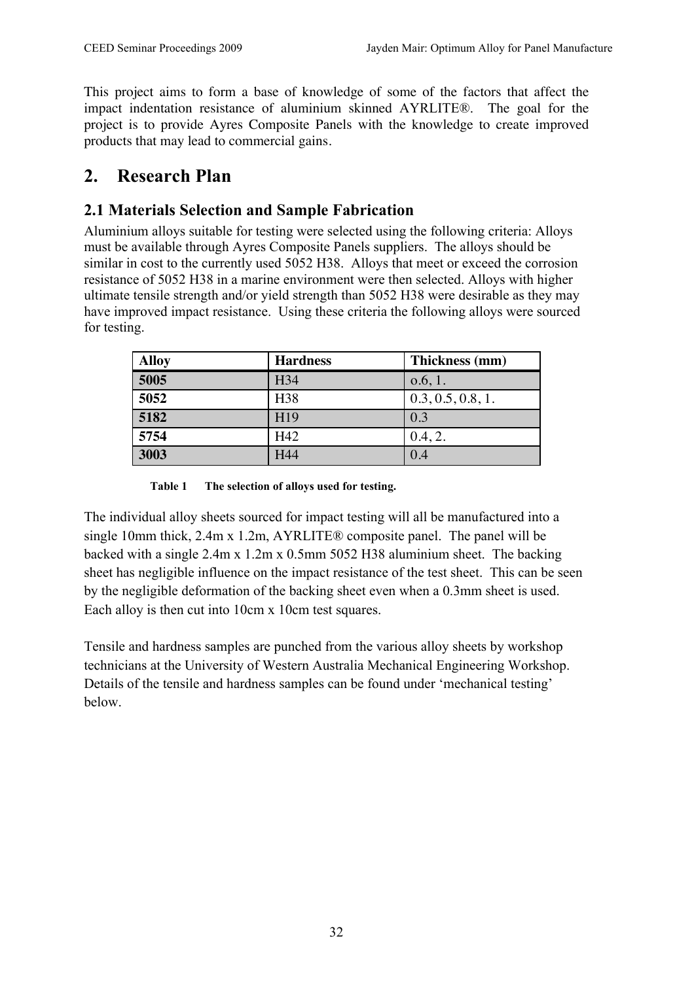This project aims to form a base of knowledge of some of the factors that affect the impact indentation resistance of aluminium skinned AYRLITE®. The goal for the project is to provide Ayres Composite Panels with the knowledge to create improved products that may lead to commercial gains.

## **2. Research Plan**

## **2.1 Materials Selection and Sample Fabrication**

Aluminium alloys suitable for testing were selected using the following criteria: Alloys must be available through Ayres Composite Panels suppliers. The alloys should be similar in cost to the currently used 5052 H38. Alloys that meet or exceed the corrosion resistance of 5052 H38 in a marine environment were then selected. Alloys with higher ultimate tensile strength and/or yield strength than 5052 H38 were desirable as they may have improved impact resistance. Using these criteria the following alloys were sourced for testing.

| <b>Alloy</b> | <b>Hardness</b> | Thickness (mm)    |
|--------------|-----------------|-------------------|
| 5005         | H34             | 0.6, 1.           |
| 5052         | H <sub>38</sub> | 0.3, 0.5, 0.8, 1. |
| 5182         | H19             | 0.3               |
| 5754         | H42             | 0.4, 2.           |
| 3003         | H44             | 0.4               |

**Table 1 The selection of alloys used for testing.**

The individual alloy sheets sourced for impact testing will all be manufactured into a single 10mm thick, 2.4m x 1.2m, AYRLITE® composite panel. The panel will be backed with a single 2.4m x 1.2m x 0.5mm 5052 H38 aluminium sheet. The backing sheet has negligible influence on the impact resistance of the test sheet. This can be seen by the negligible deformation of the backing sheet even when a 0.3mm sheet is used. Each alloy is then cut into 10cm x 10cm test squares.

Tensile and hardness samples are punched from the various alloy sheets by workshop technicians at the University of Western Australia Mechanical Engineering Workshop. Details of the tensile and hardness samples can be found under 'mechanical testing' below.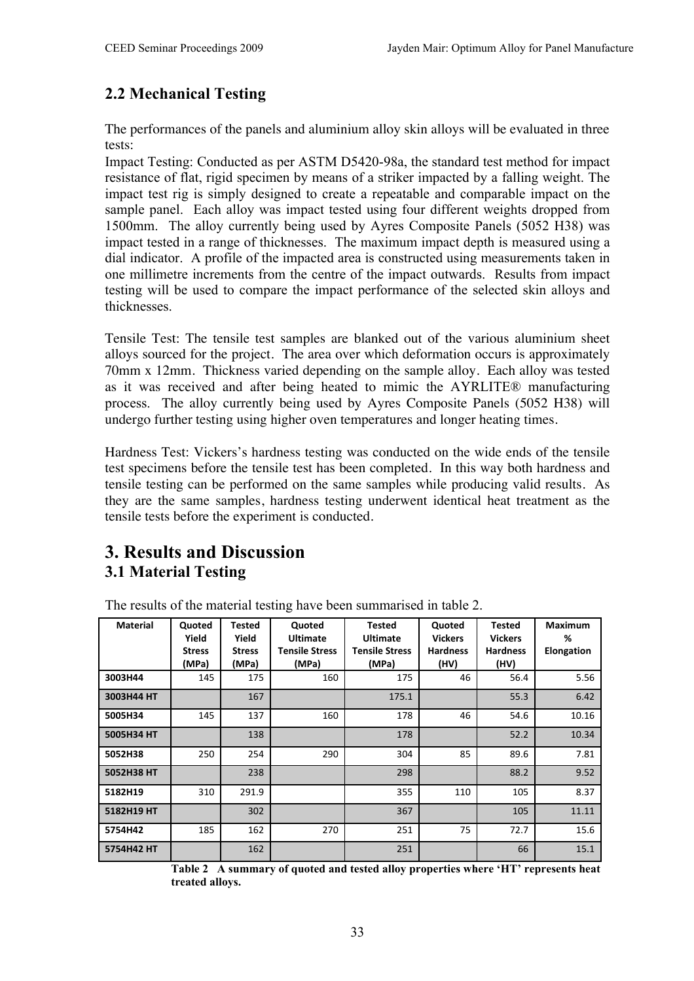## **2.2 Mechanical Testing**

The performances of the panels and aluminium alloy skin alloys will be evaluated in three tests:

Impact Testing: Conducted as per ASTM D5420-98a, the standard test method for impact resistance of flat, rigid specimen by means of a striker impacted by a falling weight. The impact test rig is simply designed to create a repeatable and comparable impact on the sample panel. Each alloy was impact tested using four different weights dropped from 1500mm. The alloy currently being used by Ayres Composite Panels (5052 H38) was impact tested in a range of thicknesses. The maximum impact depth is measured using a dial indicator. A profile of the impacted area is constructed using measurements taken in one millimetre increments from the centre of the impact outwards. Results from impact testing will be used to compare the impact performance of the selected skin alloys and thicknesses.

Tensile Test: The tensile test samples are blanked out of the various aluminium sheet alloys sourced for the project. The area over which deformation occurs is approximately 70mm x 12mm. Thickness varied depending on the sample alloy. Each alloy was tested as it was received and after being heated to mimic the AYRLITE® manufacturing process. The alloy currently being used by Ayres Composite Panels (5052 H38) will undergo further testing using higher oven temperatures and longer heating times.

Hardness Test: Vickers's hardness testing was conducted on the wide ends of the tensile test specimens before the tensile test has been completed. In this way both hardness and tensile testing can be performed on the same samples while producing valid results. As they are the same samples, hardness testing underwent identical heat treatment as the tensile tests before the experiment is conducted.

## **3. Results and Discussion 3.1 Material Testing**

| <b>Material</b> | Quoted<br>Yield<br><b>Stress</b> | Tested<br>Yield<br><b>Stress</b> | Quoted<br><b>Ultimate</b><br><b>Tensile Stress</b> | <b>Tested</b><br><b>Ultimate</b><br><b>Tensile Stress</b> | Quoted<br><b>Vickers</b><br><b>Hardness</b> | Tested<br><b>Vickers</b><br><b>Hardness</b> | <b>Maximum</b><br>%<br>Elongation |
|-----------------|----------------------------------|----------------------------------|----------------------------------------------------|-----------------------------------------------------------|---------------------------------------------|---------------------------------------------|-----------------------------------|
|                 | (MPa)                            | (MPa)                            | (MPa)                                              | (MPa)                                                     | (HV)                                        | (HV)                                        |                                   |
| 3003H44         | 145                              | 175                              | 160                                                | 175                                                       | 46                                          | 56.4                                        | 5.56                              |
| 3003H44 HT      |                                  | 167                              |                                                    | 175.1                                                     |                                             | 55.3                                        | 6.42                              |
| 5005H34         | 145                              | 137                              | 160                                                | 178                                                       | 46                                          | 54.6                                        | 10.16                             |
| 5005H34 HT      |                                  | 138                              |                                                    | 178                                                       |                                             | 52.2                                        | 10.34                             |
| 5052H38         | 250                              | 254                              | 290                                                | 304                                                       | 85                                          | 89.6                                        | 7.81                              |
| 5052H38 HT      |                                  | 238                              |                                                    | 298                                                       |                                             | 88.2                                        | 9.52                              |
| 5182H19         | 310                              | 291.9                            |                                                    | 355                                                       | 110                                         | 105                                         | 8.37                              |
| 5182H19 HT      |                                  | 302                              |                                                    | 367                                                       |                                             | 105                                         | 11.11                             |
| 5754H42         | 185                              | 162                              | 270                                                | 251                                                       | 75                                          | 72.7                                        | 15.6                              |
| 5754H42 HT      |                                  | 162                              |                                                    | 251                                                       |                                             | 66                                          | 15.1                              |

The results of the material testing have been summarised in table 2.

**Table 2 A summary of quoted and tested alloy properties where 'HT' represents heat treated alloys.**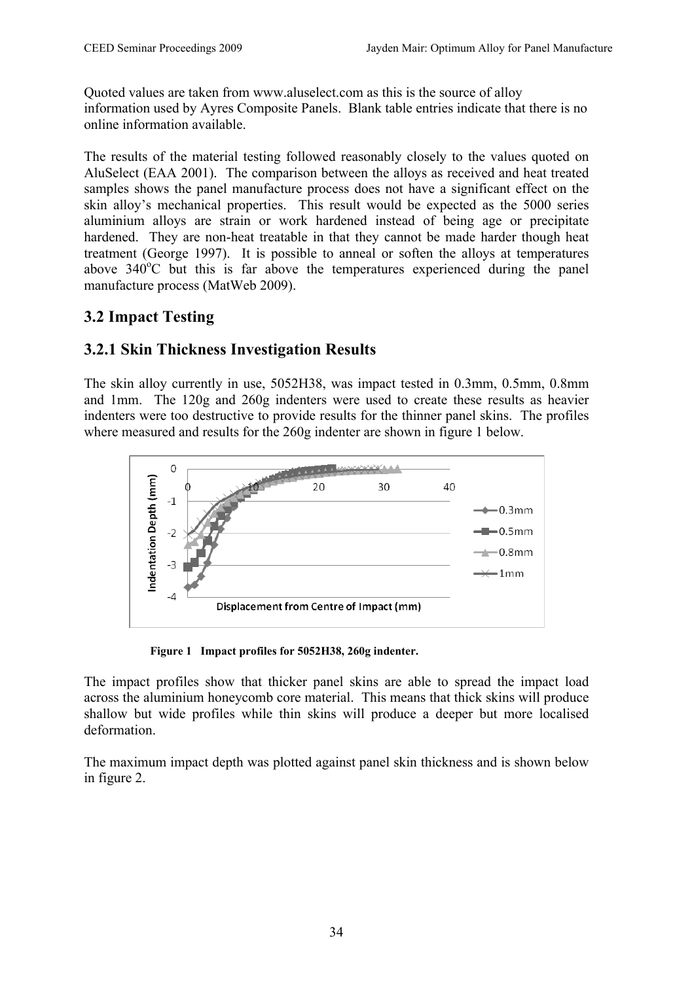Quoted values are taken from www.aluselect.com as this is the source of alloy information used by Ayres Composite Panels. Blank table entries indicate that there is no online information available.

The results of the material testing followed reasonably closely to the values quoted on AluSelect (EAA 2001). The comparison between the alloys as received and heat treated samples shows the panel manufacture process does not have a significant effect on the skin alloy's mechanical properties. This result would be expected as the 5000 series aluminium alloys are strain or work hardened instead of being age or precipitate hardened. They are non-heat treatable in that they cannot be made harder though heat treatment (George 1997). It is possible to anneal or soften the alloys at temperatures above 340°C but this is far above the temperatures experienced during the panel manufacture process (MatWeb 2009).

#### **3.2 Impact Testing**

#### **3.2.1 Skin Thickness Investigation Results**

The skin alloy currently in use, 5052H38, was impact tested in 0.3mm, 0.5mm, 0.8mm and 1mm. The 120g and 260g indenters were used to create these results as heavier indenters were too destructive to provide results for the thinner panel skins. The profiles where measured and results for the 260g indenter are shown in figure 1 below.



**Figure 1 Impact profiles for 5052H38, 260g indenter.**

The impact profiles show that thicker panel skins are able to spread the impact load across the aluminium honeycomb core material. This means that thick skins will produce shallow but wide profiles while thin skins will produce a deeper but more localised deformation.

The maximum impact depth was plotted against panel skin thickness and is shown below in figure 2.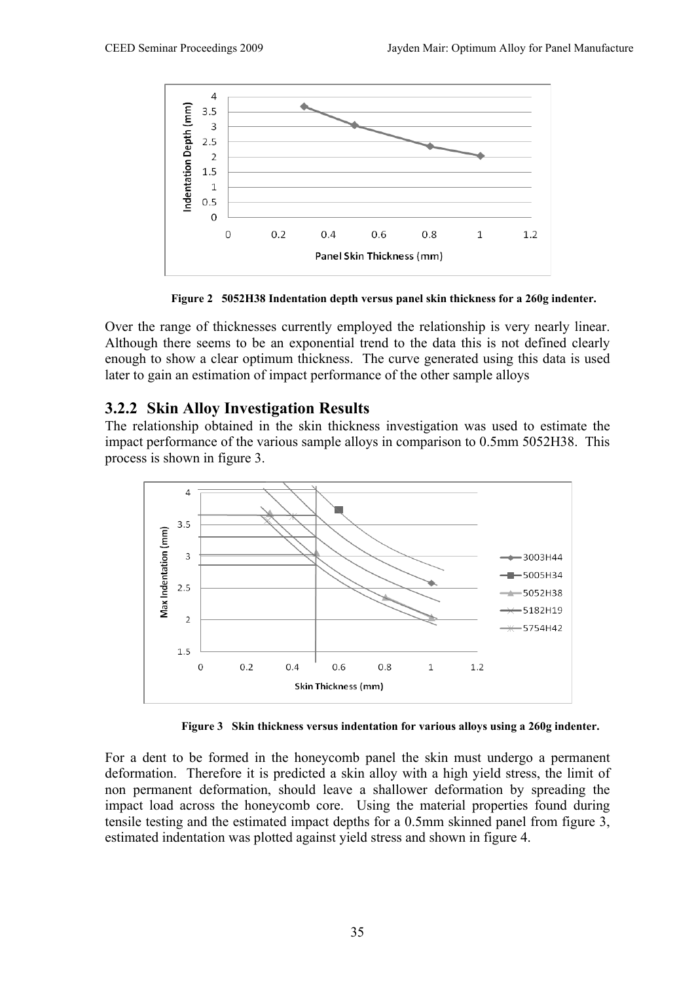

**Figure 2 5052H38 Indentation depth versus panel skin thickness for a 260g indenter.**

Over the range of thicknesses currently employed the relationship is very nearly linear. Although there seems to be an exponential trend to the data this is not defined clearly enough to show a clear optimum thickness. The curve generated using this data is used later to gain an estimation of impact performance of the other sample alloys

#### **3.2.2 Skin Alloy Investigation Results**

The relationship obtained in the skin thickness investigation was used to estimate the impact performance of the various sample alloys in comparison to 0.5mm 5052H38. This process is shown in figure 3.



**Figure 3 Skin thickness versus indentation for various alloys using a 260g indenter.**

For a dent to be formed in the honeycomb panel the skin must undergo a permanent deformation. Therefore it is predicted a skin alloy with a high yield stress, the limit of non permanent deformation, should leave a shallower deformation by spreading the impact load across the honeycomb core. Using the material properties found during tensile testing and the estimated impact depths for a 0.5mm skinned panel from figure 3, estimated indentation was plotted against yield stress and shown in figure 4.